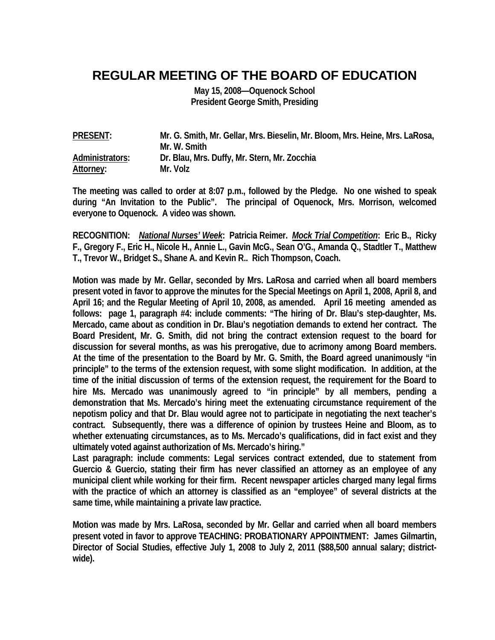## **REGULAR MEETING OF THE BOARD OF EDUCATION**

**May 15, 2008—Oquenock School President George Smith, Presiding** 

| <b>PRESENT:</b> | Mr. G. Smith, Mr. Gellar, Mrs. Bieselin, Mr. Bloom, Mrs. Heine, Mrs. LaRosa, |
|-----------------|------------------------------------------------------------------------------|
|                 | Mr. W. Smith                                                                 |
| Administrators: | Dr. Blau, Mrs. Duffy, Mr. Stern, Mr. Zocchia                                 |
| Attorney:       | Mr. Volz                                                                     |

**The meeting was called to order at 8:07 p.m., followed by the Pledge. No one wished to speak during "An Invitation to the Public". The principal of Oquenock, Mrs. Morrison, welcomed everyone to Oquenock. A video was shown.** 

**RECOGNITION:** *National Nurses' Week***: Patricia Reimer.** *Mock Trial Competition***: Eric B., Ricky F., Gregory F., Eric H., Nicole H., Annie L., Gavin McG., Sean O'G., Amanda Q., Stadtler T., Matthew T., Trevor W., Bridget S., Shane A. and Kevin R.. Rich Thompson, Coach.** 

**Motion was made by Mr. Gellar, seconded by Mrs. LaRosa and carried when all board members present voted in favor to approve the minutes for the Special Meetings on April 1, 2008, April 8, and April 16; and the Regular Meeting of April 10, 2008, as amended. April 16 meeting amended as follows: page 1, paragraph #4: include comments: "The hiring of Dr. Blau's step-daughter, Ms. Mercado, came about as condition in Dr. Blau's negotiation demands to extend her contract. The Board President, Mr. G. Smith, did not bring the contract extension request to the board for discussion for several months, as was his prerogative, due to acrimony among Board members. At the time of the presentation to the Board by Mr. G. Smith, the Board agreed unanimously "in principle" to the terms of the extension request, with some slight modification. In addition, at the time of the initial discussion of terms of the extension request, the requirement for the Board to hire Ms. Mercado was unanimously agreed to "in principle" by all members, pending a demonstration that Ms. Mercado's hiring meet the extenuating circumstance requirement of the nepotism policy and that Dr. Blau would agree not to participate in negotiating the next teacher's contract. Subsequently, there was a difference of opinion by trustees Heine and Bloom, as to whether extenuating circumstances, as to Ms. Mercado's qualifications, did in fact exist and they ultimately voted against authorization of Ms. Mercado's hiring."** 

**Last paragraph: include comments: Legal services contract extended, due to statement from Guercio & Guercio, stating their firm has never classified an attorney as an employee of any municipal client while working for their firm. Recent newspaper articles charged many legal firms with the practice of which an attorney is classified as an "employee" of several districts at the same time, while maintaining a private law practice.** 

**Motion was made by Mrs. LaRosa, seconded by Mr. Gellar and carried when all board members present voted in favor to approve TEACHING: PROBATIONARY APPOINTMENT: James Gilmartin, Director of Social Studies, effective July 1, 2008 to July 2, 2011 (\$88,500 annual salary; districtwide).**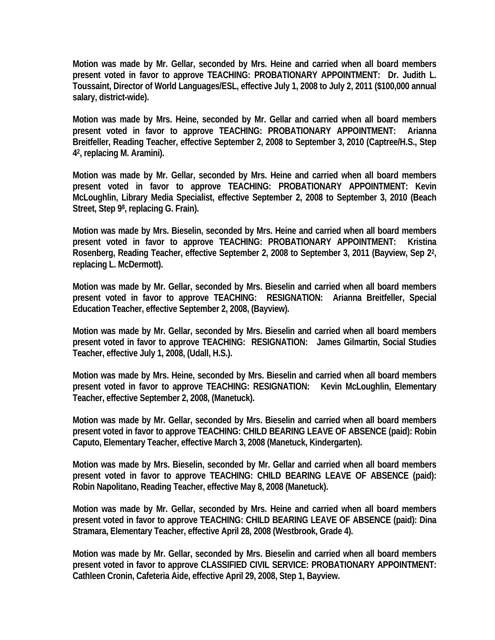**Motion was made by Mr. Gellar, seconded by Mrs. Heine and carried when all board members present voted in favor to approve TEACHING: PROBATIONARY APPOINTMENT: Dr. Judith L. Toussaint, Director of World Languages/ESL, effective July 1, 2008 to July 2, 2011 (\$100,000 annual salary, district-wide).** 

**Motion was made by Mrs. Heine, seconded by Mr. Gellar and carried when all board members present voted in favor to approve TEACHING: PROBATIONARY APPOINTMENT: Arianna Breitfeller, Reading Teacher, effective September 2, 2008 to September 3, 2010 (Captree/H.S., Step 42, replacing M. Aramini).** 

**Motion was made by Mr. Gellar, seconded by Mrs. Heine and carried when all board members present voted in favor to approve TEACHING: PROBATIONARY APPOINTMENT: Kevin McLoughlin, Library Media Specialist, effective September 2, 2008 to September 3, 2010 (Beach Street, Step 98, replacing G. Frain).** 

**Motion was made by Mrs. Bieselin, seconded by Mrs. Heine and carried when all board members present voted in favor to approve TEACHING: PROBATIONARY APPOINTMENT: Kristina Rosenberg, Reading Teacher, effective September 2, 2008 to September 3, 2011 (Bayview, Sep 22, replacing L. McDermott).** 

**Motion was made by Mr. Gellar, seconded by Mrs. Bieselin and carried when all board members present voted in favor to approve TEACHING: RESIGNATION: Arianna Breitfeller, Special Education Teacher, effective September 2, 2008, (Bayview).** 

**Motion was made by Mr. Gellar, seconded by Mrs. Bieselin and carried when all board members present voted in favor to approve TEACHING: RESIGNATION: James Gilmartin, Social Studies Teacher, effective July 1, 2008, (Udall, H.S.).** 

**Motion was made by Mrs. Heine, seconded by Mrs. Bieselin and carried when all board members present voted in favor to approve TEACHING: RESIGNATION: Kevin McLoughlin, Elementary Teacher, effective September 2, 2008, (Manetuck).** 

**Motion was made by Mr. Gellar, seconded by Mrs. Bieselin and carried when all board members present voted in favor to approve TEACHING: CHILD BEARING LEAVE OF ABSENCE (paid): Robin Caputo, Elementary Teacher, effective March 3, 2008 (Manetuck, Kindergarten).** 

**Motion was made by Mrs. Bieselin, seconded by Mr. Gellar and carried when all board members present voted in favor to approve TEACHING: CHILD BEARING LEAVE OF ABSENCE (paid): Robin Napolitano, Reading Teacher, effective May 8, 2008 (Manetuck).** 

**Motion was made by Mr. Gellar, seconded by Mrs. Heine and carried when all board members present voted in favor to approve TEACHING: CHILD BEARING LEAVE OF ABSENCE (paid): Dina Stramara, Elementary Teacher, effective April 28, 2008 (Westbrook, Grade 4).** 

**Motion was made by Mr. Gellar, seconded by Mrs. Bieselin and carried when all board members present voted in favor to approve CLASSIFIED CIVIL SERVICE: PROBATIONARY APPOINTMENT: Cathleen Cronin, Cafeteria Aide, effective April 29, 2008, Step 1, Bayview.**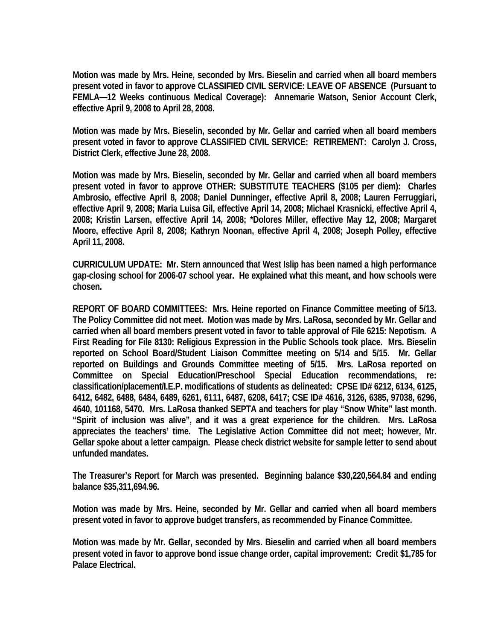**Motion was made by Mrs. Heine, seconded by Mrs. Bieselin and carried when all board members present voted in favor to approve CLASSIFIED CIVIL SERVICE: LEAVE OF ABSENCE (Pursuant to FEMLA—12 Weeks continuous Medical Coverage): Annemarie Watson, Senior Account Clerk, effective April 9, 2008 to April 28, 2008.** 

**Motion was made by Mrs. Bieselin, seconded by Mr. Gellar and carried when all board members present voted in favor to approve CLASSIFIED CIVIL SERVICE: RETIREMENT: Carolyn J. Cross, District Clerk, effective June 28, 2008.** 

**Motion was made by Mrs. Bieselin, seconded by Mr. Gellar and carried when all board members present voted in favor to approve OTHER: SUBSTITUTE TEACHERS (\$105 per diem): Charles Ambrosio, effective April 8, 2008; Daniel Dunninger, effective April 8, 2008; Lauren Ferruggiari, effective April 9, 2008; Maria Luisa Gil, effective April 14, 2008; Michael Krasnicki, effective April 4, 2008; Kristin Larsen, effective April 14, 2008; \*Dolores Miller, effective May 12, 2008; Margaret Moore, effective April 8, 2008; Kathryn Noonan, effective April 4, 2008; Joseph Polley, effective April 11, 2008.** 

**CURRICULUM UPDATE: Mr. Stern announced that West Islip has been named a high performance gap-closing school for 2006-07 school year. He explained what this meant, and how schools were chosen.** 

**REPORT OF BOARD COMMITTEES: Mrs. Heine reported on Finance Committee meeting of 5/13. The Policy Committee did not meet. Motion was made by Mrs. LaRosa, seconded by Mr. Gellar and carried when all board members present voted in favor to table approval of File 6215: Nepotism. A First Reading for File 8130: Religious Expression in the Public Schools took place. Mrs. Bieselin reported on School Board/Student Liaison Committee meeting on 5/14 and 5/15. Mr. Gellar reported on Buildings and Grounds Committee meeting of 5/15. Mrs. LaRosa reported on Committee on Special Education/Preschool Special Education recommendations, re: classification/placement/I.E.P. modifications of students as delineated: CPSE ID# 6212, 6134, 6125, 6412, 6482, 6488, 6484, 6489, 6261, 6111, 6487, 6208, 6417; CSE ID# 4616, 3126, 6385, 97038, 6296, 4640, 101168, 5470. Mrs. LaRosa thanked SEPTA and teachers for play "Snow White" last month. "Spirit of inclusion was alive", and it was a great experience for the children. Mrs. LaRosa appreciates the teachers' time. The Legislative Action Committee did not meet; however, Mr. Gellar spoke about a letter campaign. Please check district website for sample letter to send about unfunded mandates.** 

**The Treasurer's Report for March was presented. Beginning balance \$30,220,564.84 and ending balance \$35,311,694.96.** 

**Motion was made by Mrs. Heine, seconded by Mr. Gellar and carried when all board members present voted in favor to approve budget transfers, as recommended by Finance Committee.** 

**Motion was made by Mr. Gellar, seconded by Mrs. Bieselin and carried when all board members present voted in favor to approve bond issue change order, capital improvement: Credit \$1,785 for Palace Electrical.**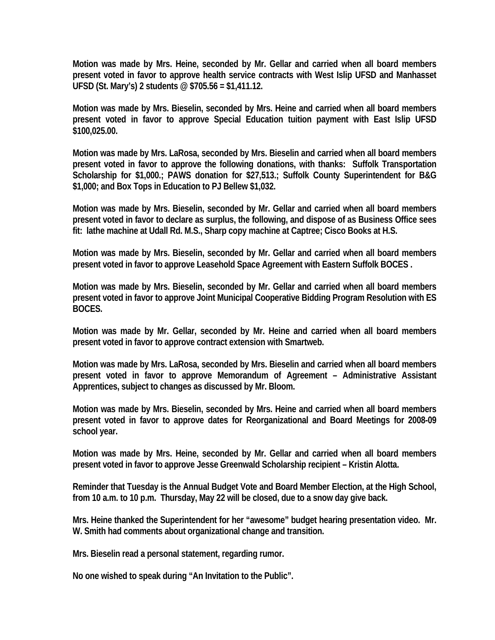**Motion was made by Mrs. Heine, seconded by Mr. Gellar and carried when all board members present voted in favor to approve health service contracts with West Islip UFSD and Manhasset UFSD (St. Mary's) 2 students @ \$705.56 = \$1,411.12.** 

**Motion was made by Mrs. Bieselin, seconded by Mrs. Heine and carried when all board members present voted in favor to approve Special Education tuition payment with East Islip UFSD \$100,025.00.** 

**Motion was made by Mrs. LaRosa, seconded by Mrs. Bieselin and carried when all board members present voted in favor to approve the following donations, with thanks: Suffolk Transportation Scholarship for \$1,000.; PAWS donation for \$27,513.; Suffolk County Superintendent for B&G \$1,000; and Box Tops in Education to PJ Bellew \$1,032.** 

**Motion was made by Mrs. Bieselin, seconded by Mr. Gellar and carried when all board members present voted in favor to declare as surplus, the following, and dispose of as Business Office sees fit: lathe machine at Udall Rd. M.S., Sharp copy machine at Captree; Cisco Books at H.S.** 

**Motion was made by Mrs. Bieselin, seconded by Mr. Gellar and carried when all board members present voted in favor to approve Leasehold Space Agreement with Eastern Suffolk BOCES .** 

**Motion was made by Mrs. Bieselin, seconded by Mr. Gellar and carried when all board members present voted in favor to approve Joint Municipal Cooperative Bidding Program Resolution with ES BOCES.** 

**Motion was made by Mr. Gellar, seconded by Mr. Heine and carried when all board members present voted in favor to approve contract extension with Smartweb.** 

**Motion was made by Mrs. LaRosa, seconded by Mrs. Bieselin and carried when all board members present voted in favor to approve Memorandum of Agreement – Administrative Assistant Apprentices, subject to changes as discussed by Mr. Bloom.** 

**Motion was made by Mrs. Bieselin, seconded by Mrs. Heine and carried when all board members present voted in favor to approve dates for Reorganizational and Board Meetings for 2008-09 school year.** 

**Motion was made by Mrs. Heine, seconded by Mr. Gellar and carried when all board members present voted in favor to approve Jesse Greenwald Scholarship recipient – Kristin Alotta.** 

**Reminder that Tuesday is the Annual Budget Vote and Board Member Election, at the High School, from 10 a.m. to 10 p.m. Thursday, May 22 will be closed, due to a snow day give back.** 

**Mrs. Heine thanked the Superintendent for her "awesome" budget hearing presentation video. Mr. W. Smith had comments about organizational change and transition.** 

**Mrs. Bieselin read a personal statement, regarding rumor.** 

**No one wished to speak during "An Invitation to the Public".**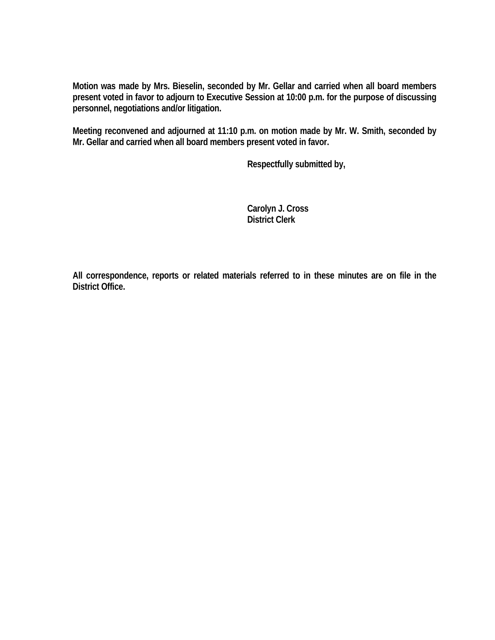**Motion was made by Mrs. Bieselin, seconded by Mr. Gellar and carried when all board members present voted in favor to adjourn to Executive Session at 10:00 p.m. for the purpose of discussing personnel, negotiations and/or litigation.** 

**Meeting reconvened and adjourned at 11:10 p.m. on motion made by Mr. W. Smith, seconded by Mr. Gellar and carried when all board members present voted in favor.** 

 **Respectfully submitted by,** 

 **Carolyn J. Cross District Clerk** 

**All correspondence, reports or related materials referred to in these minutes are on file in the District Office.**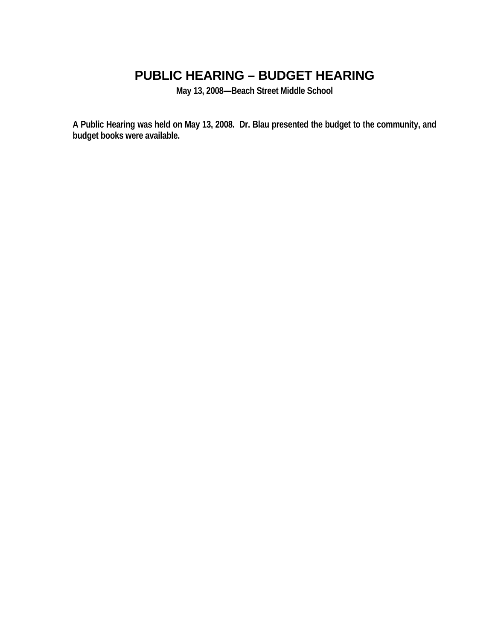# **PUBLIC HEARING – BUDGET HEARING**

**May 13, 2008—Beach Street Middle School** 

**A Public Hearing was held on May 13, 2008. Dr. Blau presented the budget to the community, and budget books were available.**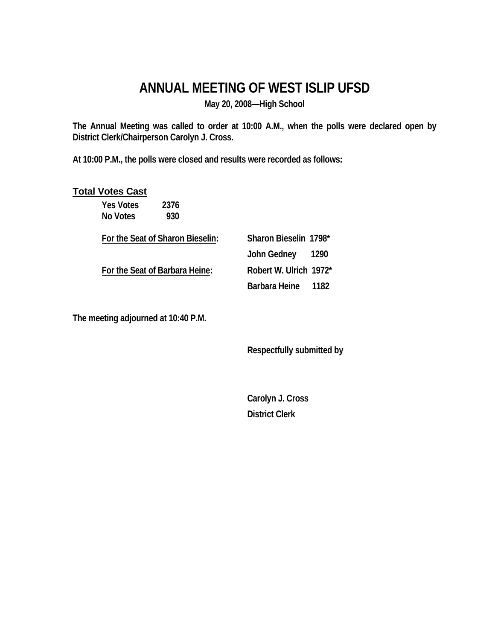## **ANNUAL MEETING OF WEST ISLIP UFSD**

**May 20, 2008—High School** 

**The Annual Meeting was called to order at 10:00 A.M., when the polls were declared open by District Clerk/Chairperson Carolyn J. Cross.** 

**At 10:00 P.M., the polls were closed and results were recorded as follows:** 

#### **Total Votes Cast**

Yes Votes 2376  **No Votes 930** 

**For the Seat of Sharon Bieselin: Sharon Bieselin 1798\*** 

 **For the Seat of Barbara Heine: Robert W. Ulrich 1972\*** 

 **John Gedney 1290 Barbara Heine 1182** 

**The meeting adjourned at 10:40 P.M.** 

 **Respectfully submitted by** 

 **Carolyn J. Cross District Clerk**